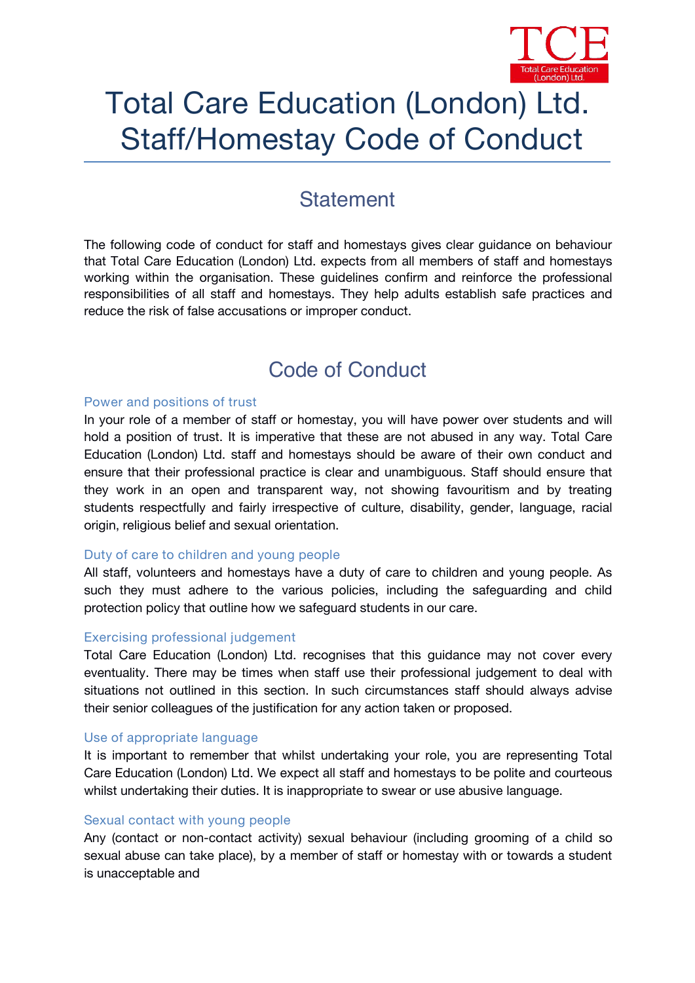

# Total Care Education (London) Ltd. Staff/Homestay Code of Conduct

# **Statement**

The following code of conduct for staff and homestays gives clear guidance on behaviour that Total Care Education (London) Ltd. expects from all members of staff and homestays working within the organisation. These guidelines confirm and reinforce the professional responsibilities of all staff and homestays. They help adults establish safe practices and reduce the risk of false accusations or improper conduct.

# **Code of Conduct**

# **Power and positions of trust**

In your role of a member of staff or homestay, you will have power over students and will hold a position of trust. It is imperative that these are not abused in any way. Total Care Education (London) Ltd. staff and homestays should be aware of their own conduct and ensure that their professional practice is clear and unambiguous. Staff should ensure that they work in an open and transparent way, not showing favouritism and by treating students respectfully and fairly irrespective of culture, disability, gender, language, racial origin, religious belief and sexual orientation.

# **Duty of care to children and young people**

All staff, volunteers and homestays have a duty of care to children and young people. As such they must adhere to the various policies, including the safeguarding and child protection policy that outline how we safeguard students in our care.

# **Exercising professional judgement**

Total Care Education (London) Ltd. recognises that this guidance may not cover every eventuality. There may be times when staff use their professional judgement to deal with situations not outlined in this section. In such circumstances staff should always advise their senior colleagues of the justification for any action taken or proposed.

# **Use of appropriate language**

It is important to remember that whilst undertaking your role, you are representing Total Care Education (London) Ltd. We expect all staff and homestays to be polite and courteous whilst undertaking their duties. It is inappropriate to swear or use abusive language.

#### **Sexual contact with young people**

Any (contact or non-contact activity) sexual behaviour (including grooming of a child so sexual abuse can take place), by a member of staff or homestay with or towards a student is unacceptable and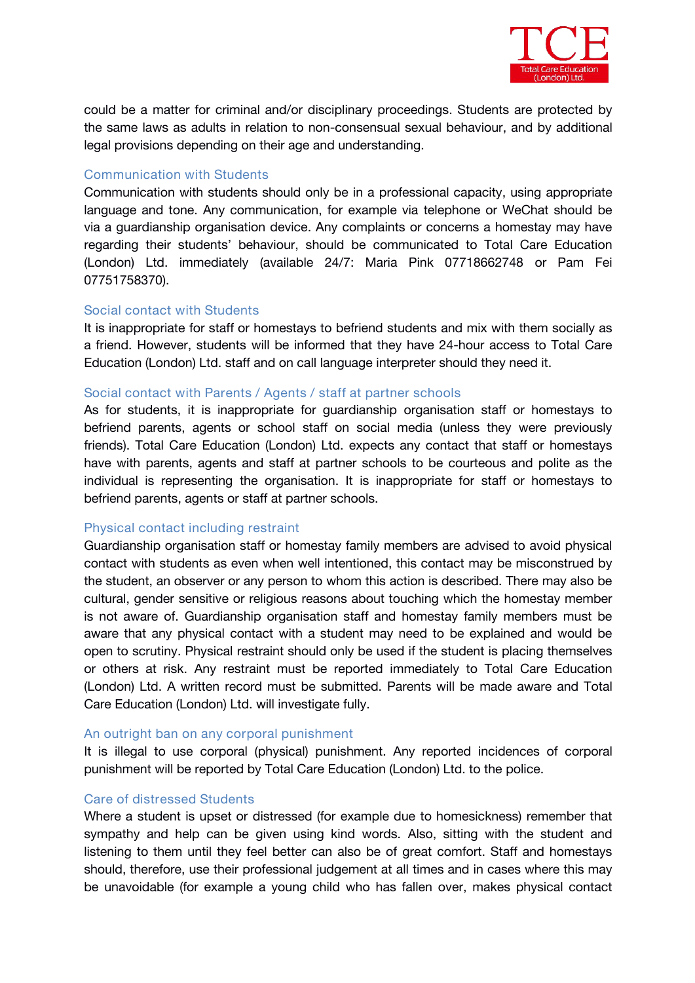

could be a matter for criminal and/or disciplinary proceedings. Students are protected by the same laws as adults in relation to non-consensual sexual behaviour, and by additional legal provisions depending on their age and understanding.

# **Communication with Students**

Communication with students should only be in a professional capacity, using appropriate language and tone. Any communication, for example via telephone or WeChat should be via a guardianship organisation device. Any complaints or concerns a homestay may have regarding their students' behaviour, should be communicated to Total Care Education (London) Ltd. immediately (available 24/7: Maria Pink 07718662748 or Pam Fei 07751758370).

# **Social contact with Students**

It is inappropriate for staff or homestays to befriend students and mix with them socially as a friend. However, students will be informed that they have 24-houraccess to Total Care Education (London) Ltd. staff and on call language interpreter should they need it.

# **Social contact with Parents / Agents / staff at partner schools**

As for students, it is inappropriate for guardianship organisation staff or homestays to befriend parents, agents or school staff on social media (unless they were previously friends). Total Care Education (London) Ltd. expects any contact that staff or homestays have with parents, agents and staff at partner schools to be courteous and polite as the individual is representing the organisation. It is inappropriate for staff or homestays to befriend parents, agents or staff at partner schools.

# **Physical contact including restraint**

Guardianship organisation staff or homestay family members are advised to avoid physical contact with students as even when well intentioned, this contact may be misconstrued by the student, an observer or any person to whom this action is described.There may also be cultural, gender sensitive or religious reasons about touching which the homestay member is not aware of. Guardianship organisation staff and homestay family members must be aware that any physical contact with a student may need to be explained and would be open to scrutiny. Physical restraint should only be used if the student is placing themselves or others at risk. Any restraint must be reported immediately to Total Care Education (London) Ltd. A written record must be submitted. Parents will be made aware and Total Care Education (London) Ltd. will investigate fully.

#### **An outright ban on any corporal punishment**

It is illegal to use corporal (physical) punishment. Any reported incidences of corporal punishment will be reported by Total Care Education (London) Ltd. to the police.

# **Care of distressed Students**

Where a student is upset or distressed (for example due to homesickness) remember that sympathy and help can be given using kind words. Also, sitting with the student and listening to them until they feel better can also be of great comfort. Staff and homestays should, therefore, use their professional judgement at all times and in cases where this may be unavoidable (for example a young child who has fallen over, makes physical contact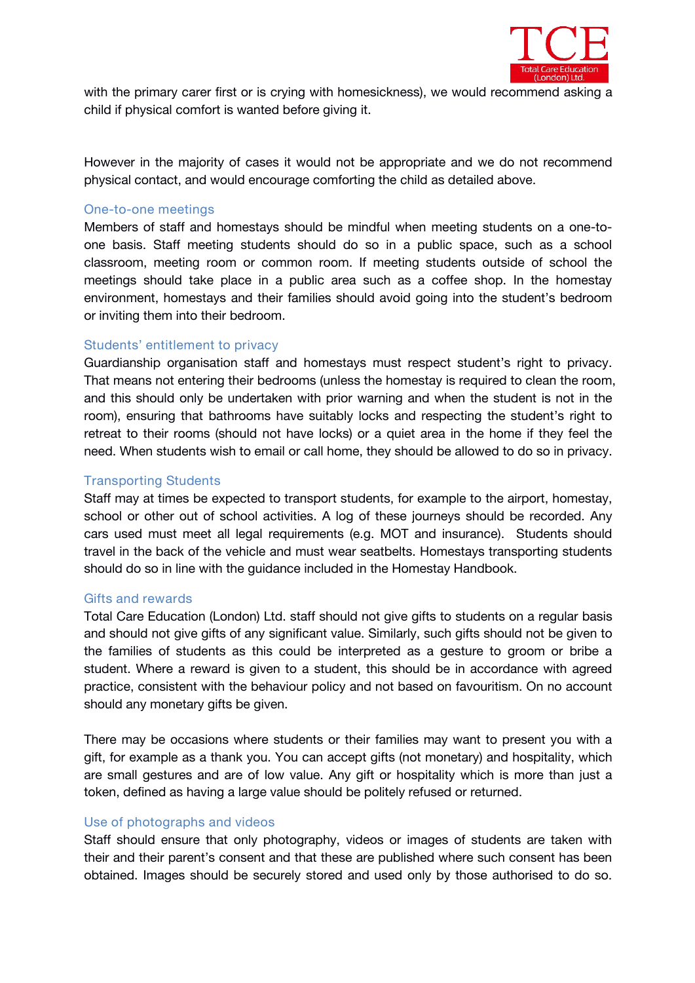

with the primary carer first or is crying with homesickness), we would recommend asking a child if physical comfort is wanted before giving it.

However in the majority of cases it would not be appropriate and we do not recommend physical contact, and would encourage comforting the child as detailed above.

#### **One-to-one meetings**

Members of staff and homestays should be mindful when meeting students on a one-to one basis. Staff meeting students should do so in a public space, such as a school classroom, meeting room or common room. If meeting students outside of school the meetings should take place in a public area such as a coffee shop. In the homestay environment, homestays and their families should avoid going into the student's bedroom or inviting them into their bedroom.

# **Students' entitlement to privacy**

Guardianship organisation staff and homestays must respect student's right to privacy. That means not entering their bedrooms (unless the homestay is required to clean the room, and this should only be undertaken with prior warning and when the student is not in the room), ensuring that bathrooms have suitably locks and respecting the student's right to retreat to their rooms (should not have locks) or a quiet area in the home if they feel the need. When students wish to email or call home, they should be allowed to do so in privacy.

# **Transporting Students**

Staff may at times be expected to transport students, for example to the airport, homestay, school or other out of school activities. A log of these journeys should be recorded. Any cars used must meet all legal requirements (e.g. MOT and insurance). Students should travel in the back of the vehicle and must wear seatbelts. Homestays transporting students should do so in line with the guidance included in the Homestay Handbook.

# **Gifts and rewards**

Total Care Education (London) Ltd. staff should not give gifts to students on a regularbasis and should not give gifts of any significant value. Similarly, such gifts should not be given to the families of students as this could be interpreted as a gesture to groom or bribe a student. Where a reward is given to a student, this should be in accordance with agreed practice, consistent with the behaviour policy and not based on favouritism. On no account should any monetary gifts be given.

There may be occasions where students or their families may want to present you with a gift, for example as a thank you. You can accept gifts (not monetary) and hospitality, which are small gestures and are of low value. Any gift or hospitality which is more than just a token, defined as having a large value should be politely refused or returned.

# **Use of photographs and videos**

Staff should ensure that only photography, videos or images of students are taken with their and their parent's consent and that these are published where such consent has been obtained. Images should be securely stored and used only by those authorised to do so.